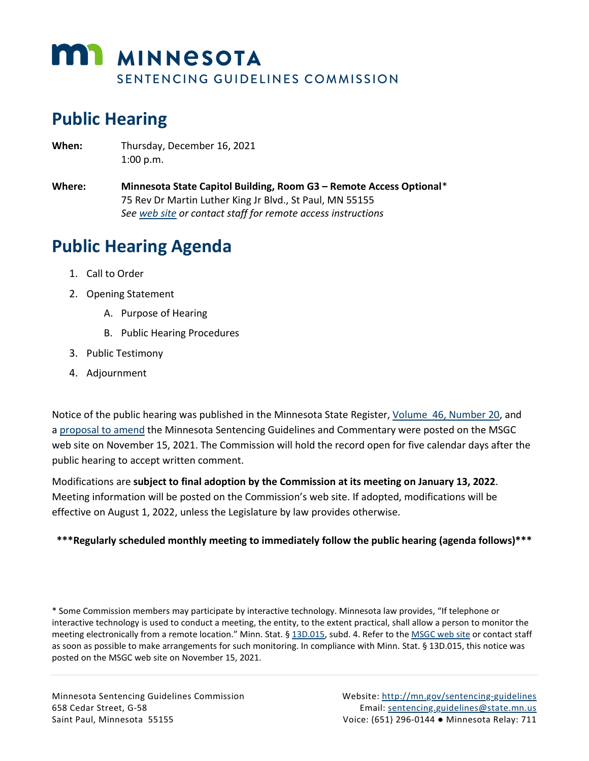

# **Public Hearing**

- **When:** Thursday, December 16, 2021 1:00 p.m.
- **Where: Minnesota State Capitol Building, Room G3 – Remote Access Optional**[\\*](#page-0-0) 75 Rev Dr Martin Luther King Jr Blvd., St Paul, MN 55155 *See [web site](https://mn.gov/sentencing-guidelines/meetings/) or contact staff for remote access instructions*

# **Public Hearing Agenda**

- 1. Call to Order
- 2. Opening Statement
	- A. Purpose of Hearing
	- B. Public Hearing Procedures
- 3. Public Testimony
- 4. Adjournment

Notice of the public hearing was published in the Minnesota State Register, Volume [46, Number 20,](https://mn.gov/admin/assets/SR46_20%20-%20Accessible_tcm36-508746.pdf) and a [proposal to amend](https://mn.gov/sentencing-guidelines/assets/12-16-2021%20Proposed%20Modifications%20and%20Public%20Hearing%20Notice%20Minn%20Sentencing%20Guidelines%20Commission_tcm30-508738.pdf) the Minnesota Sentencing Guidelines and Commentary were posted on the MSGC web site on November 15, 2021. The Commission will hold the record open for five calendar days after the public hearing to accept written comment.

Modifications are **subject to final adoption by the Commission at its meeting on January 13, 2022**. Meeting information will be posted on the Commission's web site. If adopted, modifications will be effective on August 1, 2022, unless the Legislature by law provides otherwise.

#### **\*\*\*Regularly scheduled monthly meeting to immediately follow the public hearing (agenda follows)\*\*\***

<span id="page-0-0"></span>\* Some Commission members may participate by interactive technology. Minnesota law provides, "If telephone or interactive technology is used to conduct a meeting, the entity, to the extent practical, shall allow a person to monitor the meeting electronically from a remote location." Minn. Stat. [§ 13D.015,](https://www.revisor.mn.gov/statutes/cite/13D.015) subd. 4. Refer to th[e MSGC web site](https://mn.gov/sentencing-guidelines/meetings/) or contact staff as soon as possible to make arrangements for such monitoring. In compliance with Minn. Stat. § 13D.015, this notice was posted on the MSGC web site on November 15, 2021.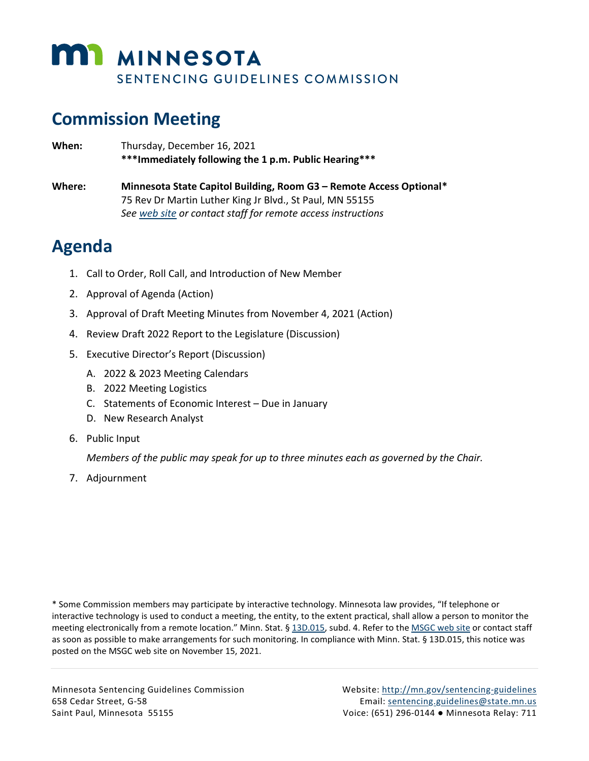

# **Commission Meeting**

**When:** Thursday, December 16, 2021 **\*\*\*Immediately following the 1 p.m. Public Hearing\*\*\* Where: Minnesota State Capitol Building, Room G3 – Remote Access Optional[\\*](#page-1-0)** 75 Rev Dr Martin Luther King Jr Blvd., St Paul, MN 55155 *See [web site](https://mn.gov/sentencing-guidelines/meetings/) or contact staff for remote access instructions*

## **Agenda**

- 1. Call to Order, Roll Call, and Introduction of New Member
- 2. Approval of Agenda (Action)
- 3. Approval of Draft Meeting Minutes from November 4, 2021 (Action)
- 4. Review Draft 2022 Report to the Legislature (Discussion)
- 5. Executive Director's Report (Discussion)
	- A. 2022 & 2023 Meeting Calendars
	- B. 2022 Meeting Logistics
	- C. Statements of Economic Interest Due in January
	- D. New Research Analyst
- 6. Public Input

*Members of the public may speak for up to three minutes each as governed by the Chair.*

7. Adjournment

<span id="page-1-0"></span>\* Some Commission members may participate by interactive technology. Minnesota law provides, "If telephone or interactive technology is used to conduct a meeting, the entity, to the extent practical, shall allow a person to monitor the meeting electronically from a remote location." Minn. Stat. [§ 13D.015,](https://www.revisor.mn.gov/statutes/cite/13D.015) subd. 4. Refer to th[e MSGC web site](https://mn.gov/sentencing-guidelines/meetings/) or contact staff as soon as possible to make arrangements for such monitoring. In compliance with Minn. Stat. § 13D.015, this notice was posted on the MSGC web site on November 15, 2021.